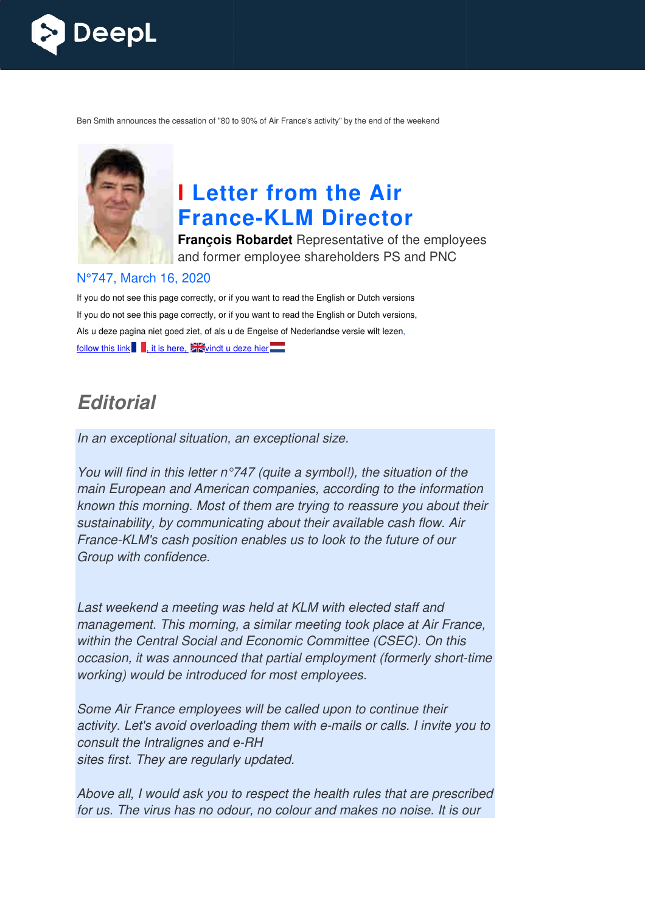

Ben Smith announces the cessation of "80 to 90% of Air France's activity" by the end of the weekend



# **I Letter from the Air France France-KLM Director**

**François Robardet** Representative of the employees and former employee shareholders PS and PNC

#### N°747, March 16, 2020

If you do not see this page correctly, or if you want to read the English or Dutch versions If you do not see this page correctly, or if you want to read the English or Dutch versions, Als u deze pagina niet goed ziet, of als u de Engelse of Nederlandse versie wilt lezen, follow this link  $\blacksquare$ , it is here,  $\blacktriangleright$  vindt u deze hier $\blacksquare$ 

# *Editorial*

In an exceptional situation, an exceptional size.

You will find in this letter  $n^{\circ}$ 747 (quite a symbol!), the situation of the main European and American companies, according to the information known this morning. Most of them are trying to reassure you ab about their sustainability, by communicating about their available cash flow. Air France-KLM's cash position enables us to look to the future of our Group with confidence.

Last weekend a meeting was held at KLM with elected staff and management. This morning, a similar meeting took place at Air France, within the Central Social and Economic Committee (CSEC). On this occasion, it was announced that partial employment (formerly short working) would be introduced for most employees. KLM's cash position enables us to look to the future of our<br>with confidence.<br>ekend a meeting was held at KLM with elected staff and<br>ement. This morning, a similar meeting took place at Air Fran<br>ne Central Social and Econom out their<br>. Air<br>pur<br>d<br>france,<br>i this<br>hort-time

Some Air France employees will be called upon to continue their Some Air France employees will be called upon to continue their<br>activity. Let's avoid overloading them with e-mails or calls. I invite you to consult the Intralignes and e-RH sites first. They are regularly updated. mails or calls.<br>alth rules that

Above all, I would ask you to respect the health rules that are prescribed for us. The virus has no odour, no colour and makes no noise. It is our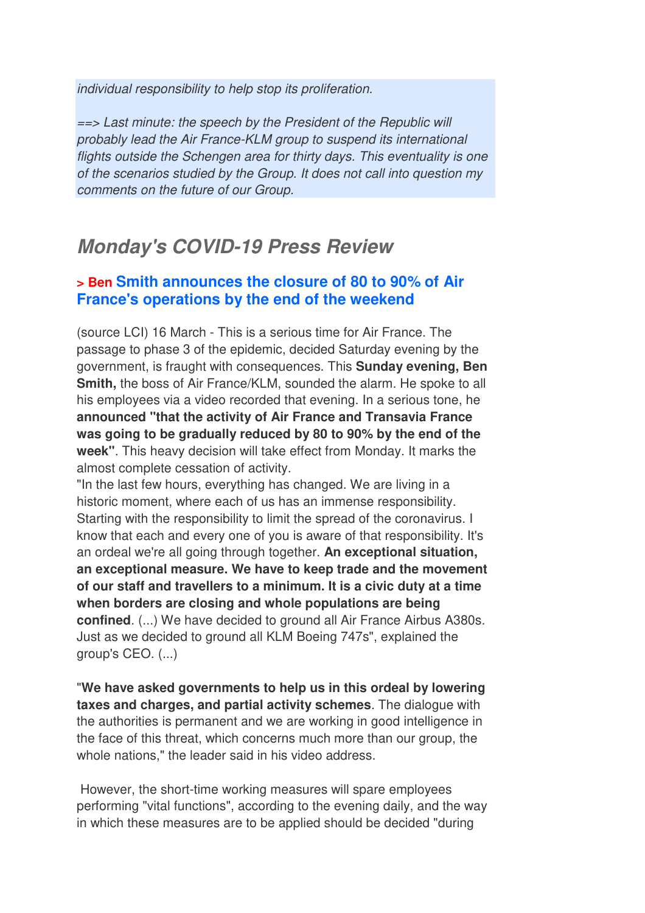individual responsibility to help stop its proliferation.

==> Last minute: the speech by the President of the Republic will probably lead the Air France-KLM group to suspend its international flights outside the Schengen area for thirty days. This eventuality is one of the scenarios studied by the Group. It does not call into question my comments on the future of our Group.

# *Monday's COVID-19 Press Review*

### **> Ben Smith announces the closure of 80 to 90% of Air France's operations by the end of the weekend**

(source LCI) 16 March - This is a serious time for Air France. The passage to phase 3 of the epidemic, decided Saturday evening by the government, is fraught with consequences. This **Sunday evening, Ben Smith,** the boss of Air France/KLM, sounded the alarm. He spoke to all his employees via a video recorded that evening. In a serious tone, he **announced "that the activity of Air France and Transavia France was going to be gradually reduced by 80 to 90% by the end of the week"**. This heavy decision will take effect from Monday. It marks the almost complete cessation of activity.

"In the last few hours, everything has changed. We are living in a historic moment, where each of us has an immense responsibility. Starting with the responsibility to limit the spread of the coronavirus. I know that each and every one of you is aware of that responsibility. It's an ordeal we're all going through together. **An exceptional situation, an exceptional measure. We have to keep trade and the movement of our staff and travellers to a minimum. It is a civic duty at a time when borders are closing and whole populations are being confined**. (...) We have decided to ground all Air France Airbus A380s. Just as we decided to ground all KLM Boeing 747s", explained the group's CEO. (...)

"**We have asked governments to help us in this ordeal by lowering taxes and charges, and partial activity schemes**. The dialogue with the authorities is permanent and we are working in good intelligence in the face of this threat, which concerns much more than our group, the whole nations," the leader said in his video address.

 However, the short-time working measures will spare employees performing "vital functions", according to the evening daily, and the way in which these measures are to be applied should be decided "during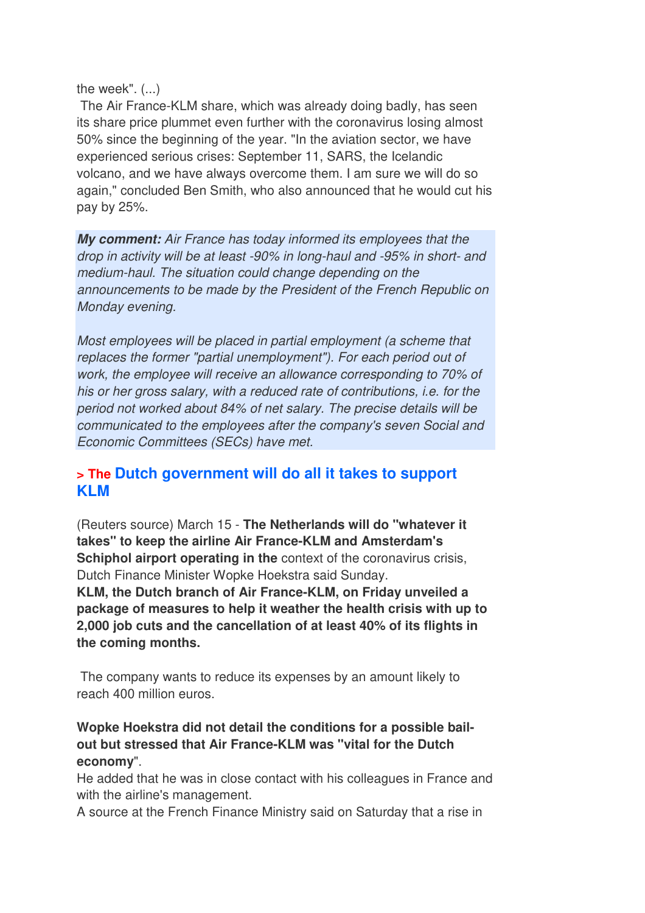the week". (...)

**the coming months.** 

 The Air France-KLM share, which was already doing badly, has seen its share price plummet even further with the coronavirus losing almost 50% since the beginning of the year. "In the aviation sector, we have experienced serious crises: September 11, SARS, the Icelandic volcano, and we have always overcome them. I am sure we will do so again," concluded Ben Smith, who also announced that he would cut his pay by 25%.

*My comment:* Air France has today informed its employees that the drop in activity will be at least -90% in long-haul and -95% in short- and medium-haul. The situation could change depending on the announcements to be made by the President of the French Republic on Monday evening.

Most employees will be placed in partial employment (a scheme that replaces the former "partial unemployment"). For each period out of work, the employee will receive an allowance corresponding to 70% of his or her gross salary, with a reduced rate of contributions, i.e. for the period not worked about 84% of net salary. The precise details will be communicated to the employees after the company's seven Social and Economic Committees (SECs) have met.

## **> The Dutch government will do all it takes to support KLM**

(Reuters source) March 15 - **The Netherlands will do "whatever it takes" to keep the airline Air France-KLM and Amsterdam's Schiphol airport operating in the context of the coronavirus crisis,** Dutch Finance Minister Wopke Hoekstra said Sunday. **KLM, the Dutch branch of Air France-KLM, on Friday unveiled a package of measures to help it weather the health crisis with up to 2,000 job cuts and the cancellation of at least 40% of its flights in** 

 The company wants to reduce its expenses by an amount likely to reach 400 million euros.

## **Wopke Hoekstra did not detail the conditions for a possible bailout but stressed that Air France-KLM was "vital for the Dutch economy**".

He added that he was in close contact with his colleagues in France and with the airline's management.

A source at the French Finance Ministry said on Saturday that a rise in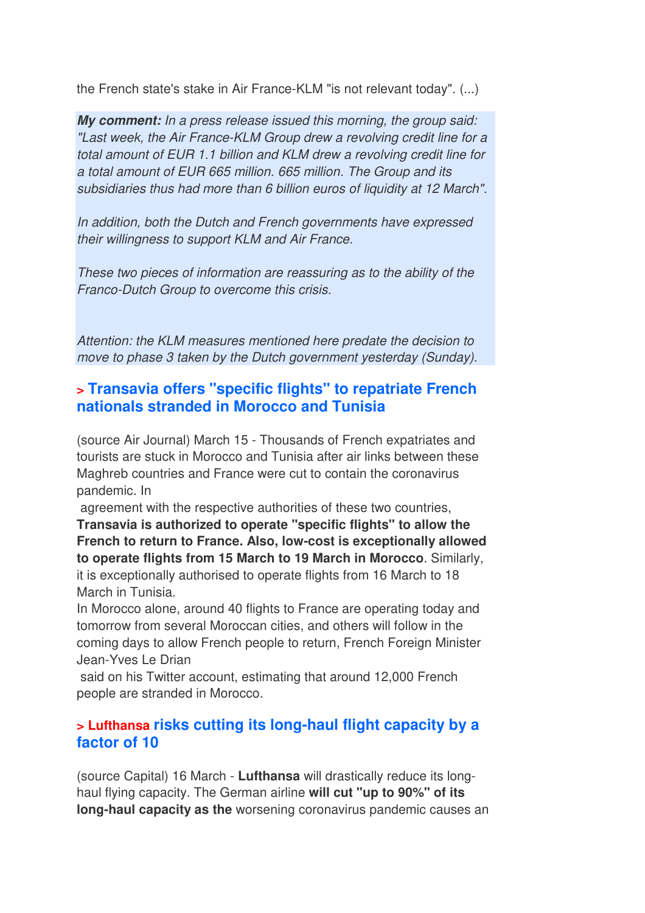the French state's stake in Air France-KLM "is not relevant today". (...)

*My comment:* In a press release issued this morning, the group said: "Last week, the Air France-KLM Group drew a revolving credit line for a total amount of EUR 1.1 billion and KLM drew a revolving credit line for a total amount of EUR 665 million. 665 million. The Group and its subsidiaries thus had more than 6 billion euros of liquidity at 12 March".

In addition, both the Dutch and French governments have expressed their willingness to support KLM and Air France.

These two pieces of information are reassuring as to the ability of the Franco-Dutch Group to overcome this crisis.

Attention: the KLM measures mentioned here predate the decision to move to phase 3 taken by the Dutch government yesterday (Sunday).

## **> Transavia offers "specific flights" to repatriate French nationals stranded in Morocco and Tunisia**

(source Air Journal) March 15 - Thousands of French expatriates and tourists are stuck in Morocco and Tunisia after air links between these Maghreb countries and France were cut to contain the coronavirus pandemic. In

 agreement with the respective authorities of these two countries, **Transavia is authorized to operate "specific flights" to allow the French to return to France. Also, low-cost is exceptionally allowed to operate flights from 15 March to 19 March in Morocco**. Similarly, it is exceptionally authorised to operate flights from 16 March to 18 March in Tunisia.

In Morocco alone, around 40 flights to France are operating today and tomorrow from several Moroccan cities, and others will follow in the coming days to allow French people to return, French Foreign Minister Jean-Yves Le Drian

 said on his Twitter account, estimating that around 12,000 French people are stranded in Morocco.

## **> Lufthansa risks cutting its long-haul flight capacity by a factor of 10**

(source Capital) 16 March - **Lufthansa** will drastically reduce its longhaul flying capacity. The German airline **will cut "up to 90%" of its long-haul capacity as the** worsening coronavirus pandemic causes an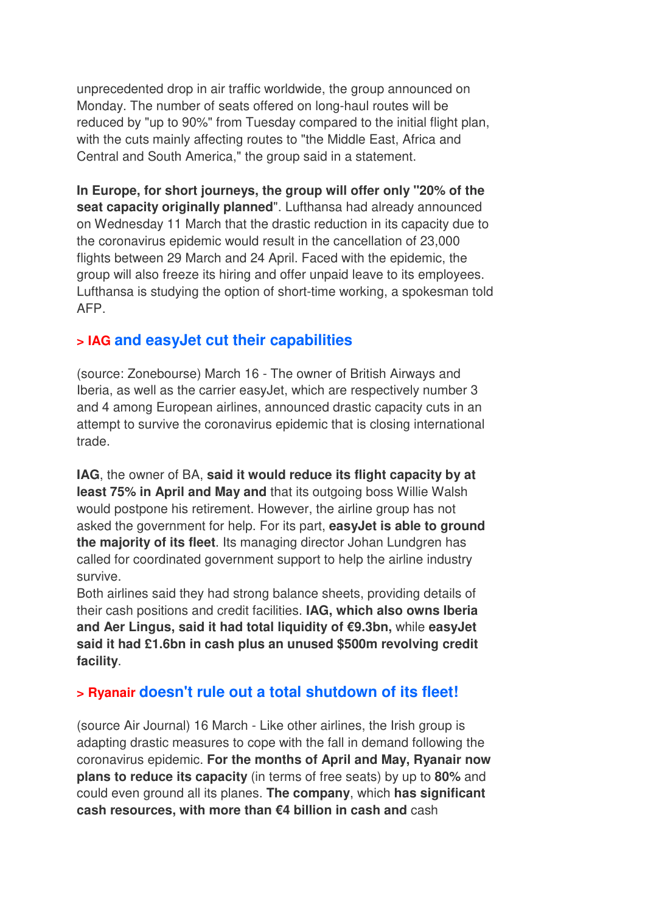unprecedented drop in air traffic worldwide, the group announced on Monday. The number of seats offered on long-haul routes will be reduced by "up to 90%" from Tuesday compared to the initial flight plan, with the cuts mainly affecting routes to "the Middle East, Africa and Central and South America," the group said in a statement.

**In Europe, for short journeys, the group will offer only "20% of the**  seat capacity originally planned". Lufthansa had already announced on Wednesday 11 March that the drastic reduction in its capacity due to the coronavirus epidemic would result in the cancellation of 23,000 flights between 29 March and 24 April. Faced with the epidemic, the group will also freeze its hiring and offer unpaid leave to its employees. Lufthansa is studying the option of short-time working, a spokesman told AFP.

## **> IAG and easyJet cut their capabilities**

(source: Zonebourse) March 16 - The owner of British Airways and Iberia, as well as the carrier easyJet, which are respectively number 3 and 4 among European airlines, announced drastic capacity cuts in an attempt to survive the coronavirus epidemic that is closing international trade.

**IAG**, the owner of BA, **said it would reduce its flight capacity by at least 75% in April and May and** that its outgoing boss Willie Walsh would postpone his retirement. However, the airline group has not asked the government for help. For its part, **easyJet is able to ground the majority of its fleet**. Its managing director Johan Lundgren has called for coordinated government support to help the airline industry survive.

Both airlines said they had strong balance sheets, providing details of their cash positions and credit facilities. **IAG, which also owns Iberia and Aer Lingus, said it had total liquidity of €9.3bn,** while **easyJet said it had £1.6bn in cash plus an unused \$500m revolving credit facility**.

## **> Ryanair doesn't rule out a total shutdown of its fleet!**

(source Air Journal) 16 March - Like other airlines, the Irish group is adapting drastic measures to cope with the fall in demand following the coronavirus epidemic. **For the months of April and May, Ryanair now plans to reduce its capacity** (in terms of free seats) by up to **80%** and could even ground all its planes. **The company**, which **has significant cash resources, with more than €4 billion in cash and** cash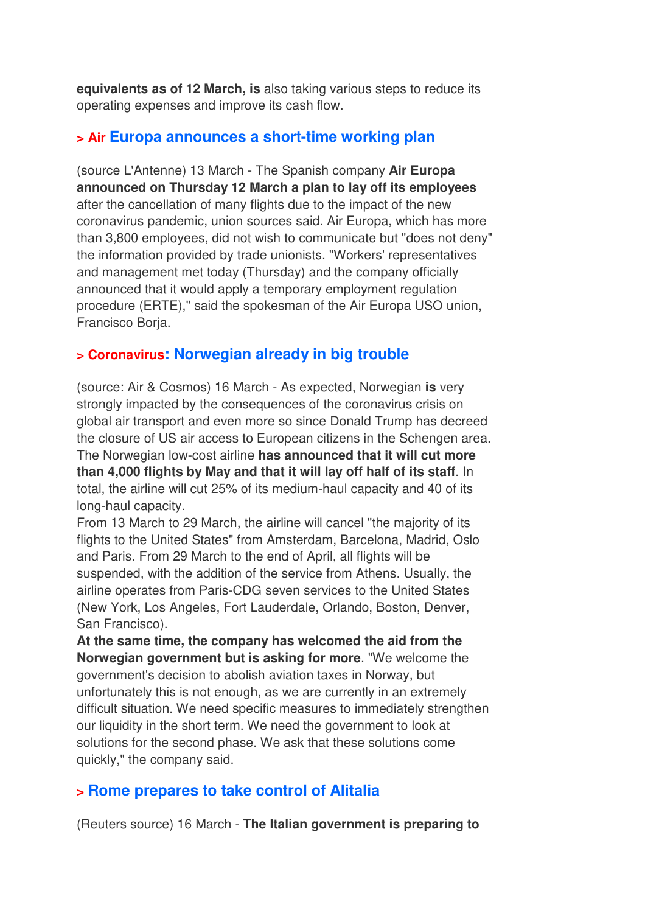**equivalents as of 12 March, is** also taking various steps to reduce its operating expenses and improve its cash flow.

## **> Air Europa announces a short-time working plan**

(source L'Antenne) 13 March - The Spanish company **Air Europa announced on Thursday 12 March a plan to lay off its employees** after the cancellation of many flights due to the impact of the new coronavirus pandemic, union sources said. Air Europa, which has more than 3,800 employees, did not wish to communicate but "does not deny" the information provided by trade unionists. "Workers' representatives and management met today (Thursday) and the company officially announced that it would apply a temporary employment regulation procedure (ERTE)," said the spokesman of the Air Europa USO union, Francisco Borja.

## **> Coronavirus: Norwegian already in big trouble**

(source: Air & Cosmos) 16 March - As expected, Norwegian **is** very strongly impacted by the consequences of the coronavirus crisis on global air transport and even more so since Donald Trump has decreed the closure of US air access to European citizens in the Schengen area. The Norwegian low-cost airline **has announced that it will cut more than 4,000 flights by May and that it will lay off half of its staff**. In total, the airline will cut 25% of its medium-haul capacity and 40 of its long-haul capacity.

From 13 March to 29 March, the airline will cancel "the majority of its flights to the United States" from Amsterdam, Barcelona, Madrid, Oslo and Paris. From 29 March to the end of April, all flights will be suspended, with the addition of the service from Athens. Usually, the airline operates from Paris-CDG seven services to the United States (New York, Los Angeles, Fort Lauderdale, Orlando, Boston, Denver, San Francisco).

**At the same time, the company has welcomed the aid from the Norwegian government but is asking for more**. "We welcome the government's decision to abolish aviation taxes in Norway, but unfortunately this is not enough, as we are currently in an extremely difficult situation. We need specific measures to immediately strengthen our liquidity in the short term. We need the government to look at solutions for the second phase. We ask that these solutions come quickly," the company said.

## **> Rome prepares to take control of Alitalia**

(Reuters source) 16 March - **The Italian government is preparing to**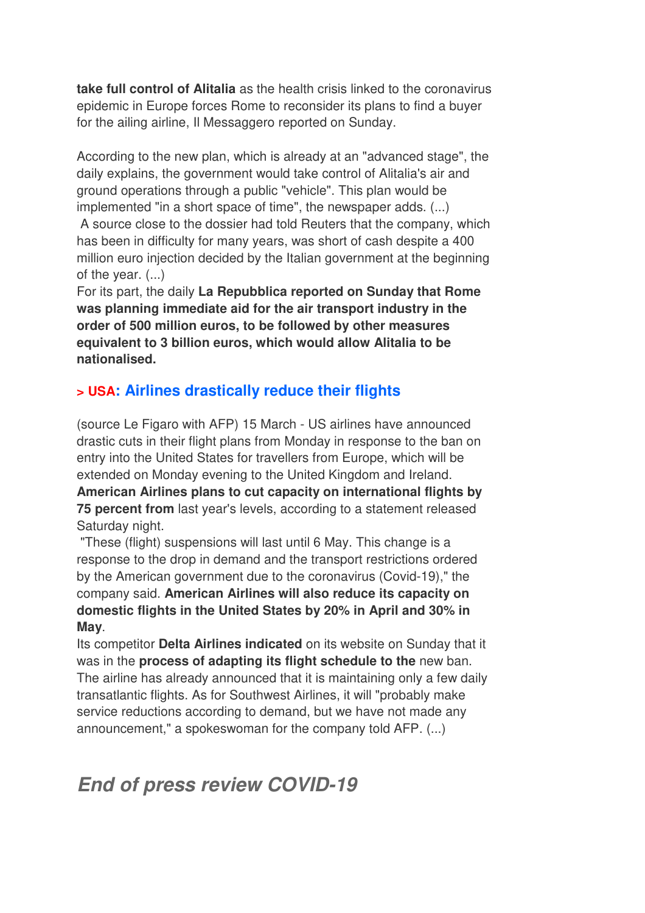**take full control of Alitalia** as the health crisis linked to the coronavirus epidemic in Europe forces Rome to reconsider its plans to find a buyer for the ailing airline, Il Messaggero reported on Sunday.

According to the new plan, which is already at an "advanced stage", the daily explains, the government would take control of Alitalia's air and ground operations through a public "vehicle". This plan would be implemented "in a short space of time", the newspaper adds. (...)

 A source close to the dossier had told Reuters that the company, which has been in difficulty for many years, was short of cash despite a 400 million euro injection decided by the Italian government at the beginning of the year. (...)

For its part, the daily **La Repubblica reported on Sunday that Rome was planning immediate aid for the air transport industry in the order of 500 million euros, to be followed by other measures equivalent to 3 billion euros, which would allow Alitalia to be nationalised.**

## **> USA: Airlines drastically reduce their flights**

(source Le Figaro with AFP) 15 March - US airlines have announced drastic cuts in their flight plans from Monday in response to the ban on entry into the United States for travellers from Europe, which will be extended on Monday evening to the United Kingdom and Ireland. **American Airlines plans to cut capacity on international flights by 75 percent from** last year's levels, according to a statement released Saturday night.

 "These (flight) suspensions will last until 6 May. This change is a response to the drop in demand and the transport restrictions ordered by the American government due to the coronavirus (Covid-19)," the company said. **American Airlines will also reduce its capacity on domestic flights in the United States by 20% in April and 30% in May**.

Its competitor **Delta Airlines indicated** on its website on Sunday that it was in the **process of adapting its flight schedule to the** new ban. The airline has already announced that it is maintaining only a few daily transatlantic flights. As for Southwest Airlines, it will "probably make service reductions according to demand, but we have not made any announcement," a spokeswoman for the company told AFP. (...)

# *End of press review COVID-19*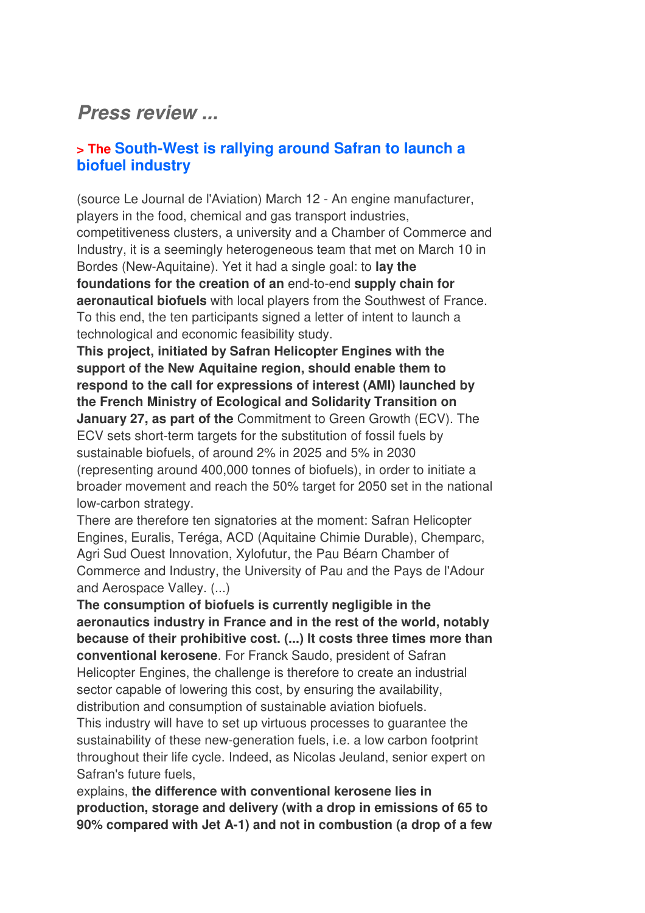## *Press review ...*

## **> The South-West is rallying around Safran to launch a biofuel industry**

(source Le Journal de l'Aviation) March 12 - An engine manufacturer, players in the food, chemical and gas transport industries, competitiveness clusters, a university and a Chamber of Commerce and Industry, it is a seemingly heterogeneous team that met on March 10 in Bordes (New-Aquitaine). Yet it had a single goal: to **lay the foundations for the creation of an** end-to-end **supply chain for aeronautical biofuels** with local players from the Southwest of France. To this end, the ten participants signed a letter of intent to launch a technological and economic feasibility study.

**This project, initiated by Safran Helicopter Engines with the support of the New Aquitaine region, should enable them to respond to the call for expressions of interest (AMI) launched by the French Ministry of Ecological and Solidarity Transition on January 27, as part of the** Commitment to Green Growth (ECV). The ECV sets short-term targets for the substitution of fossil fuels by sustainable biofuels, of around 2% in 2025 and 5% in 2030 (representing around 400,000 tonnes of biofuels), in order to initiate a broader movement and reach the 50% target for 2050 set in the national low-carbon strategy.

There are therefore ten signatories at the moment: Safran Helicopter Engines, Euralis, Teréga, ACD (Aquitaine Chimie Durable), Chemparc, Agri Sud Ouest Innovation, Xylofutur, the Pau Béarn Chamber of Commerce and Industry, the University of Pau and the Pays de l'Adour and Aerospace Valley. (...)

**The consumption of biofuels is currently negligible in the aeronautics industry in France and in the rest of the world, notably because of their prohibitive cost. (...) It costs three times more than conventional kerosene**. For Franck Saudo, president of Safran Helicopter Engines, the challenge is therefore to create an industrial sector capable of lowering this cost, by ensuring the availability, distribution and consumption of sustainable aviation biofuels.

This industry will have to set up virtuous processes to guarantee the sustainability of these new-generation fuels, i.e. a low carbon footprint throughout their life cycle. Indeed, as Nicolas Jeuland, senior expert on Safran's future fuels,

explains, **the difference with conventional kerosene lies in production, storage and delivery (with a drop in emissions of 65 to 90% compared with Jet A-1) and not in combustion (a drop of a few**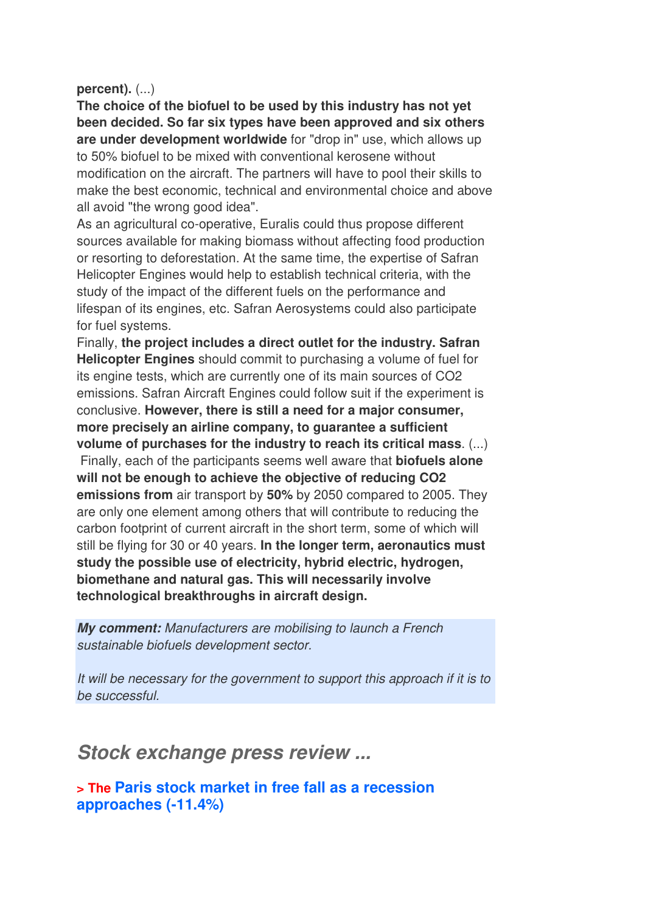#### **percent).** (...)

**The choice of the biofuel to be used by this industry has not yet been decided. So far six types have been approved and six others are under development worldwide** for "drop in" use, which allows up to 50% biofuel to be mixed with conventional kerosene without modification on the aircraft. The partners will have to pool their skills to make the best economic, technical and environmental choice and above all avoid "the wrong good idea".

As an agricultural co-operative, Euralis could thus propose different sources available for making biomass without affecting food production or resorting to deforestation. At the same time, the expertise of Safran Helicopter Engines would help to establish technical criteria, with the study of the impact of the different fuels on the performance and lifespan of its engines, etc. Safran Aerosystems could also participate for fuel systems.

Finally, **the project includes a direct outlet for the industry. Safran Helicopter Engines** should commit to purchasing a volume of fuel for its engine tests, which are currently one of its main sources of CO2 emissions. Safran Aircraft Engines could follow suit if the experiment is conclusive. **However, there is still a need for a major consumer, more precisely an airline company, to guarantee a sufficient volume of purchases for the industry to reach its critical mass**. (...) Finally, each of the participants seems well aware that **biofuels alone will not be enough to achieve the objective of reducing CO2 emissions from** air transport by **50%** by 2050 compared to 2005. They are only one element among others that will contribute to reducing the carbon footprint of current aircraft in the short term, some of which will still be flying for 30 or 40 years. **In the longer term, aeronautics must study the possible use of electricity, hybrid electric, hydrogen, biomethane and natural gas. This will necessarily involve technological breakthroughs in aircraft design.**

*My comment:* Manufacturers are mobilising to launch a French sustainable biofuels development sector.

It will be necessary for the government to support this approach if it is to be successful.

*Stock exchange press review ...*

**> The Paris stock market in free fall as a recession approaches (-11.4%)**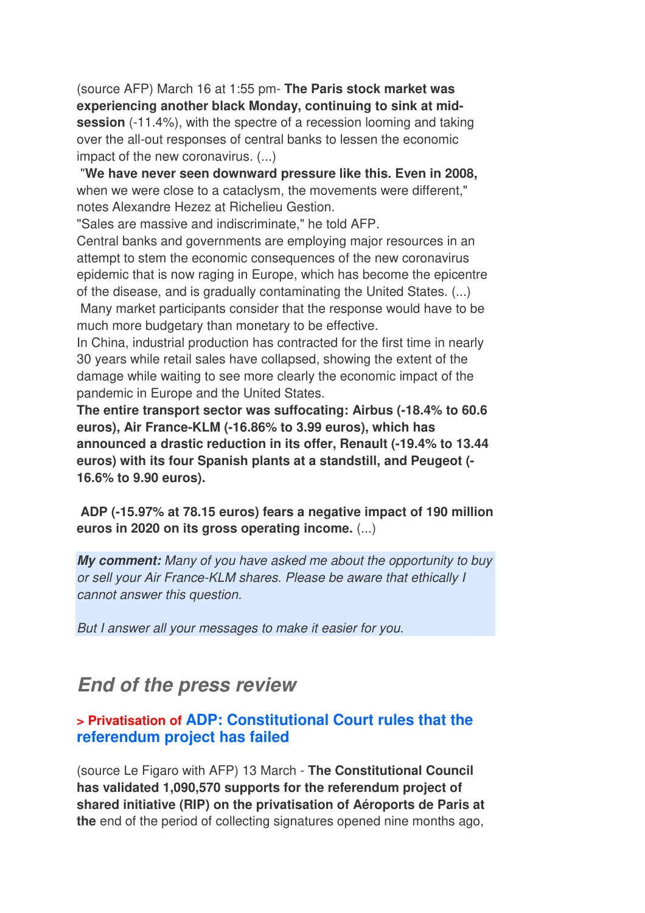(source AFP) March 16 at 1:55 pm- **The Paris stock market was experiencing another black Monday, continuing to sink at midsession** (-11.4%), with the spectre of a recession looming and taking over the all-out responses of central banks to lessen the economic impact of the new coronavirus. (...)

 "**We have never seen downward pressure like this. Even in 2008,** when we were close to a cataclysm, the movements were different," notes Alexandre Hezez at Richelieu Gestion.

"Sales are massive and indiscriminate," he told AFP.

Central banks and governments are employing major resources in an attempt to stem the economic consequences of the new coronavirus epidemic that is now raging in Europe, which has become the epicentre of the disease, and is gradually contaminating the United States. (...) Many market participants consider that the response would have to be

much more budgetary than monetary to be effective.

In China, industrial production has contracted for the first time in nearly 30 years while retail sales have collapsed, showing the extent of the damage while waiting to see more clearly the economic impact of the pandemic in Europe and the United States.

**The entire transport sector was suffocating: Airbus (-18.4% to 60.6 euros), Air France-KLM (-16.86% to 3.99 euros), which has announced a drastic reduction in its offer, Renault (-19.4% to 13.44 euros) with its four Spanish plants at a standstill, and Peugeot (- 16.6% to 9.90 euros).** 

 **ADP (-15.97% at 78.15 euros) fears a negative impact of 190 million euros in 2020 on its gross operating income.** (...)

*My comment:* Many of you have asked me about the opportunity to buy or sell your Air France-KLM shares. Please be aware that ethically I cannot answer this question.

But I answer all your messages to make it easier for you.

# *End of the press review*

## **> Privatisation of ADP: Constitutional Court rules that the referendum project has failed**

(source Le Figaro with AFP) 13 March - **The Constitutional Council has validated 1,090,570 supports for the referendum project of shared initiative (RIP) on the privatisation of Aéroports de Paris at the** end of the period of collecting signatures opened nine months ago,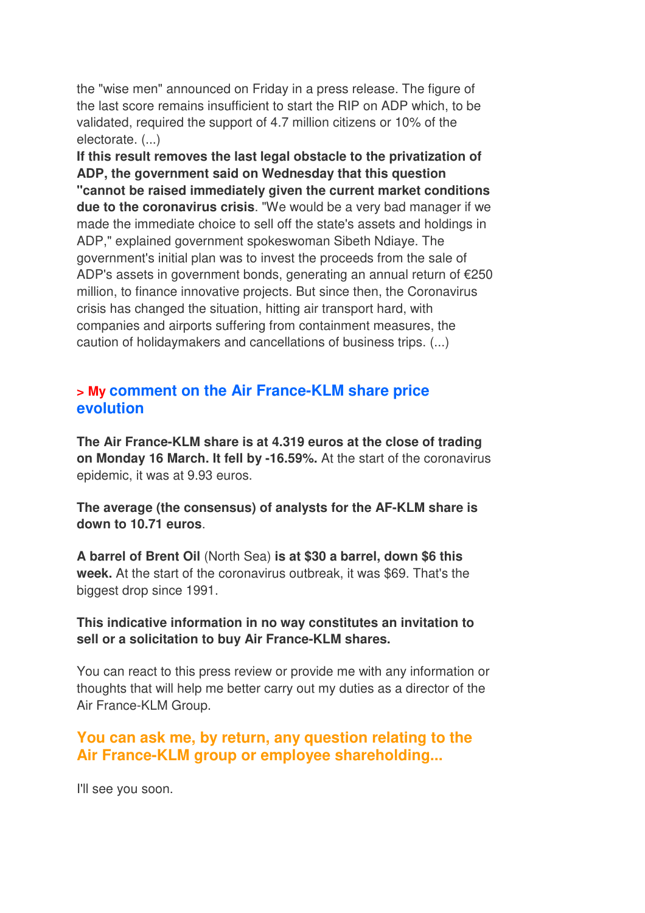the "wise men" announced on Friday in a press release. The figure of the last score remains insufficient to start the RIP on ADP which, to be validated, required the support of 4.7 million citizens or 10% of the electorate. (...)

**If this result removes the last legal obstacle to the privatization of ADP, the government said on Wednesday that this question "cannot be raised immediately given the current market conditions due to the coronavirus crisis**. "We would be a very bad manager if we made the immediate choice to sell off the state's assets and holdings in ADP," explained government spokeswoman Sibeth Ndiaye. The government's initial plan was to invest the proceeds from the sale of ADP's assets in government bonds, generating an annual return of €250 million, to finance innovative projects. But since then, the Coronavirus crisis has changed the situation, hitting air transport hard, with companies and airports suffering from containment measures, the caution of holidaymakers and cancellations of business trips. (...)

#### **> My comment on the Air France-KLM share price evolution**

**The Air France-KLM share is at 4.319 euros at the close of trading on Monday 16 March. It fell by -16.59%.** At the start of the coronavirus epidemic, it was at 9.93 euros.

**The average (the consensus) of analysts for the AF-KLM share is down to 10.71 euros**.

**A barrel of Brent Oil** (North Sea) **is at \$30 a barrel, down \$6 this week.** At the start of the coronavirus outbreak, it was \$69. That's the biggest drop since 1991.

#### **This indicative information in no way constitutes an invitation to sell or a solicitation to buy Air France-KLM shares.**

You can react to this press review or provide me with any information or thoughts that will help me better carry out my duties as a director of the Air France-KLM Group.

## **You can ask me, by return, any question relating to the Air France-KLM group or employee shareholding...**

I'll see you soon.